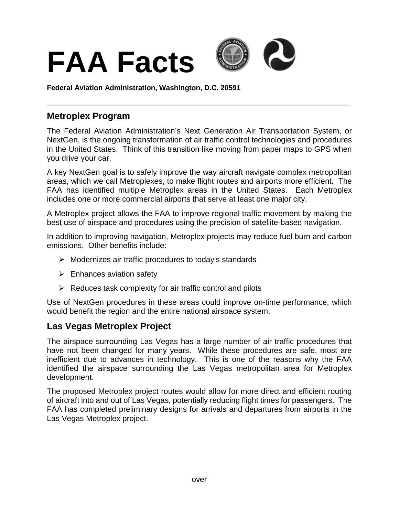

**Federal Aviation Administration, Washington, D.C. 20591**

## **Metroplex Program**

The Federal Aviation Administration's Next Generation Air Transportation System, or NextGen, is the ongoing transformation of air traffic control technologies and procedures in the United States. Think of this transition like moving from paper maps to GPS when you drive your car.

\_\_\_\_\_\_\_\_\_\_\_\_\_\_\_\_\_\_\_\_\_\_\_\_\_\_\_\_\_\_\_\_\_\_\_\_\_\_\_\_\_\_\_\_\_\_\_\_\_\_\_\_\_\_\_\_\_\_\_\_\_\_\_\_\_\_\_\_\_\_\_\_\_\_\_\_

A key NextGen goal is to safely improve the way aircraft navigate complex metropolitan areas, which we call Metroplexes, to make flight routes and airports more efficient. The FAA has identified multiple Metroplex areas in the United States. Each Metroplex includes one or more commercial airports that serve at least one major city.

A Metroplex project allows the FAA to improve regional traffic movement by making the best use of airspace and procedures using the precision of satellite-based navigation.

In addition to improving navigation, Metroplex projects may reduce fuel burn and carbon emissions. Other benefits include:

- $\triangleright$  Modernizes air traffic procedures to today's standards
- $\triangleright$  Enhances aviation safety
- $\triangleright$  Reduces task complexity for air traffic control and pilots

Use of NextGen procedures in these areas could improve on-time performance, which would benefit the region and the entire national airspace system.

## **Las Vegas Metroplex Project**

The airspace surrounding Las Vegas has a large number of air traffic procedures that have not been changed for many years. While these procedures are safe, most are inefficient due to advances in technology. This is one of the reasons why the FAA identified the airspace surrounding the Las Vegas metropolitan area for Metroplex development.

The proposed Metroplex project routes would allow for more direct and efficient routing of aircraft into and out of Las Vegas, potentially reducing flight times for passengers. The FAA has completed preliminary designs for arrivals and departures from airports in the Las Vegas Metroplex project.